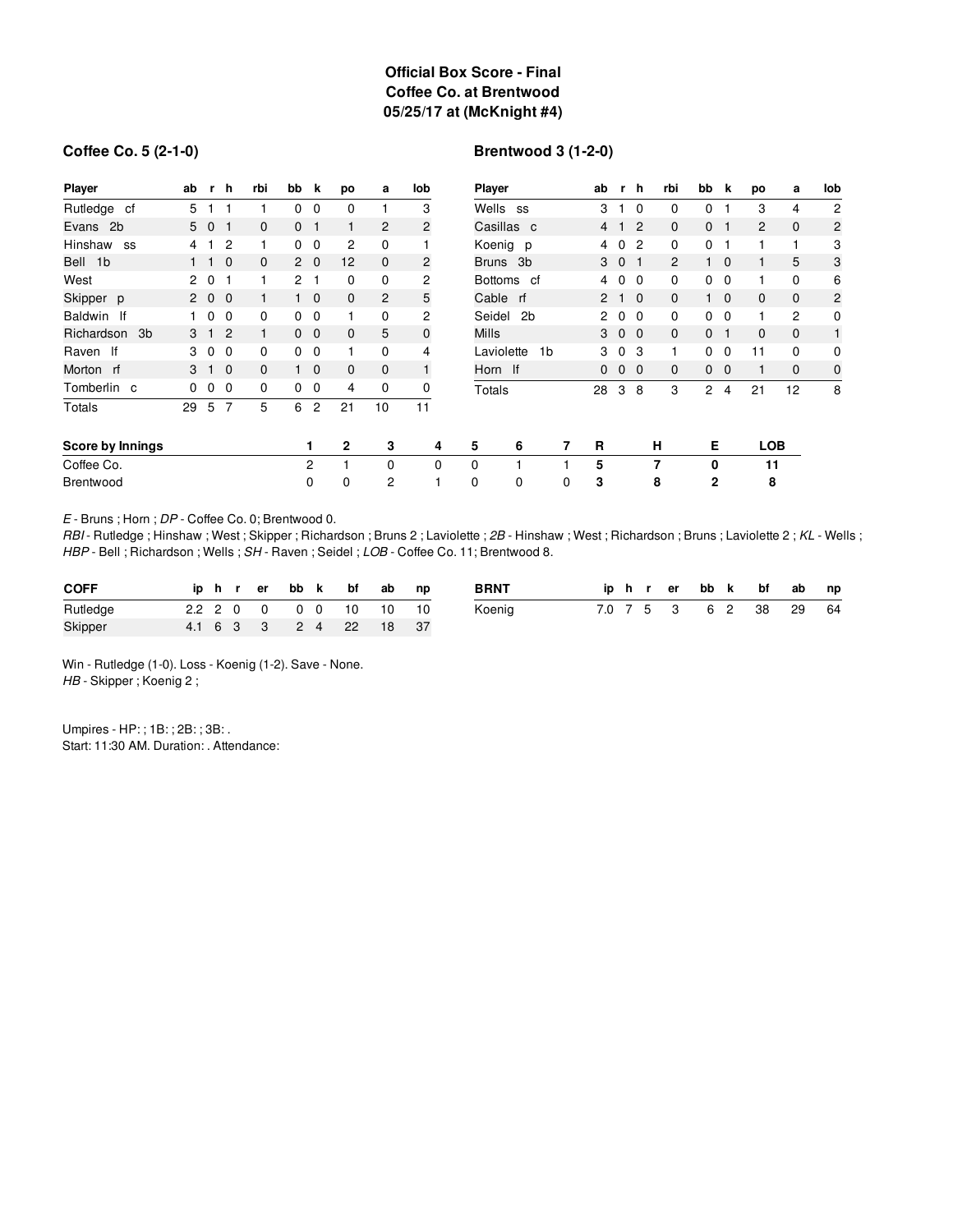## **Official Box Score - Final Coffee Co. at Brentwood 05/25/17 at (McKnight #4)**

#### **Coffee Co. 5 (2-1-0)**

## **Brentwood 3 (1-2-0)**

| <b>Player</b>          | ab        | r               | <b>h</b>       | rbi          | bb             | k              | po             | a              | lob            | Player       |                |   | ab |                | r h            | rbi          | bb           | k            | po             | a              | lob            |
|------------------------|-----------|-----------------|----------------|--------------|----------------|----------------|----------------|----------------|----------------|--------------|----------------|---|----|----------------|----------------|--------------|--------------|--------------|----------------|----------------|----------------|
| Rutledge cf            | 5         |                 |                |              | 0              | $\mathbf 0$    | $\Omega$       |                | 3              | Wells ss     |                |   | 3  | -1             | $\Omega$       | $\mathbf 0$  | 0            |              | 3              | 4              | $\overline{2}$ |
| Evans 2b               | 5 0       |                 |                | $\mathbf{0}$ | 0              |                |                | 2              | $\overline{c}$ |              | Casillas c     |   | 4  | $\mathbf{1}$   | $\overline{2}$ | $\mathbf{0}$ | 0            |              | $\overline{c}$ | $\mathbf{0}$   | $\overline{c}$ |
| Hinshaw<br>SS          | 4         |                 | 2              |              | 0              | $\mathbf{0}$   | $\overline{2}$ | 0              |                |              | Koenig p       |   | 4  | $\mathbf 0$    | $\overline{c}$ | 0            | 0            |              | 1              | 1              | 3              |
| Bell<br>1 <sub>b</sub> |           |                 | $\overline{0}$ | $\mathbf{0}$ | $\mathbf{2}$   | $\overline{0}$ | 12             | $\mathbf{0}$   | 2              | Bruns 3b     |                |   | 3  | 0 <sub>1</sub> |                | 2            |              | $1\quad 0$   | 1              | 5              | 3              |
| West                   | $2\quad0$ |                 |                |              | $\overline{2}$ |                | 0              | 0              | 2              |              | Bottoms cf     |   | 4  | 0              | $\overline{0}$ | 0            | 0            | 0            | 1              | 0              | 6              |
| Skipper p              |           | 200             |                |              |                | $1\quad 0$     | $\mathbf{0}$   | $\overline{2}$ | 5              | Cable rf     |                |   |    | $2 \t1 \t0$    |                | $\mathbf{0}$ |              | $1\quad 0$   | $\mathbf 0$    | $\mathbf 0$    | $\overline{c}$ |
| Baldwin If             |           | $\overline{0}$  | $\overline{0}$ | 0            | $\mathbf{0}$   | $\overline{0}$ |                | 0              | 2              | Seidel       | 2 <sub>b</sub> |   | 2  | $\overline{0}$ | - 0            | 0            | 0            | $\mathbf{0}$ | 1              | $\overline{c}$ | $\mathbf 0$    |
| Richardson<br>3b       | 3         | $\sim$ 1 $\sim$ | $\overline{2}$ | 1            | $\mathbf{0}$   | $\overline{0}$ | $\mathbf{0}$   | 5              | $\mathbf 0$    | <b>Mills</b> |                |   | 3  | $0\quad 0$     |                | $\mathbf{0}$ | 0            | $\mathbf{1}$ | $\mathbf{0}$   | $\mathbf{0}$   | $\mathbf{1}$   |
| Raven If               | 3         | $\mathbf 0$     | $\Omega$       | 0            | 0              | 0              |                | 0              | 4              | Laviolette   | 1 <sub>b</sub> |   | 3  | $\mathbf 0$    | -3             | 1            | 0            | 0            | 11             | $\mathbf 0$    | $\mathbf 0$    |
| Morton rf              | 3         |                 | $\overline{0}$ | $\mathbf{0}$ |                | $\overline{0}$ | $\mathbf 0$    | $\mathbf 0$    | $\mathbf{1}$   | Horn If      |                |   | 0  | $\mathbf{0}$   | - 0            | 0            | 0            | $\mathbf 0$  | $\mathbf{1}$   | $\mathbf 0$    | $\mathbf 0$    |
| Tomberlin c            | 0         | 0               | $\mathbf 0$    | 0            | $\mathbf 0$    | $\overline{0}$ | 4              | $\mathbf 0$    | 0              | Totals       |                |   | 28 | 3              | 8              | 3            | 2            | 4            | 21             | 12             | 8              |
| Totals                 | 29        | 5               | 7              | 5            | 6              | 2              | 21             | 10             | 11             |              |                |   |    |                |                |              |              |              |                |                |                |
| Score by Innings       |           |                 |                |              |                | 1              | $\mathbf{2}$   | 3              | 4              | 5            | 6              | 7 | R  |                |                | н            | Е            |              | <b>LOB</b>     |                |                |
| Coffee Co.             |           |                 |                |              |                | 2              |                | 0              | 0              | $\Omega$     |                |   | 5  |                |                | 7            | 0            |              | 11             |                |                |
| Brentwood              |           |                 |                |              |                | 0              | 0              | 2              |                | 0            | $\mathbf 0$    | 0 | 3  |                |                | 8            | $\mathbf{2}$ |              | 8              |                |                |

*E* - Bruns ; Horn ; *DP* - Coffee Co. 0; Brentwood 0.

*RBI* - Rutledge ; Hinshaw ; West ; Skipper ; Richardson ; Bruns 2 ; Laviolette ; *2B* - Hinshaw ; West ; Richardson ; Bruns ; Laviolette 2 ; *KL* - Wells ; *HBP* - Bell ; Richardson ; Wells ; *SH* - Raven ; Seidel ; *LOB* - Coffee Co. 11; Brentwood 8.

| <b>COFF</b> |  |  |  | iphrerbbk bfab np      |  | <b>BRNT</b> |  |  |  | iphrerbbk bfab np      |  |
|-------------|--|--|--|------------------------|--|-------------|--|--|--|------------------------|--|
| Rutledge    |  |  |  | 2.2 2 0 0 0 0 10 10 10 |  | Koenig      |  |  |  | 7.0 7 5 3 6 2 38 29 64 |  |
| Skipper     |  |  |  | 4.1 6 3 3 2 4 22 18 37 |  |             |  |  |  |                        |  |

Win - Rutledge (1-0). Loss - Koenig (1-2). Save - None. *HB* - Skipper ; Koenig 2 ;

Umpires - HP: ; 1B: ; 2B: ; 3B: . Start: 11:30 AM. Duration: . Attendance: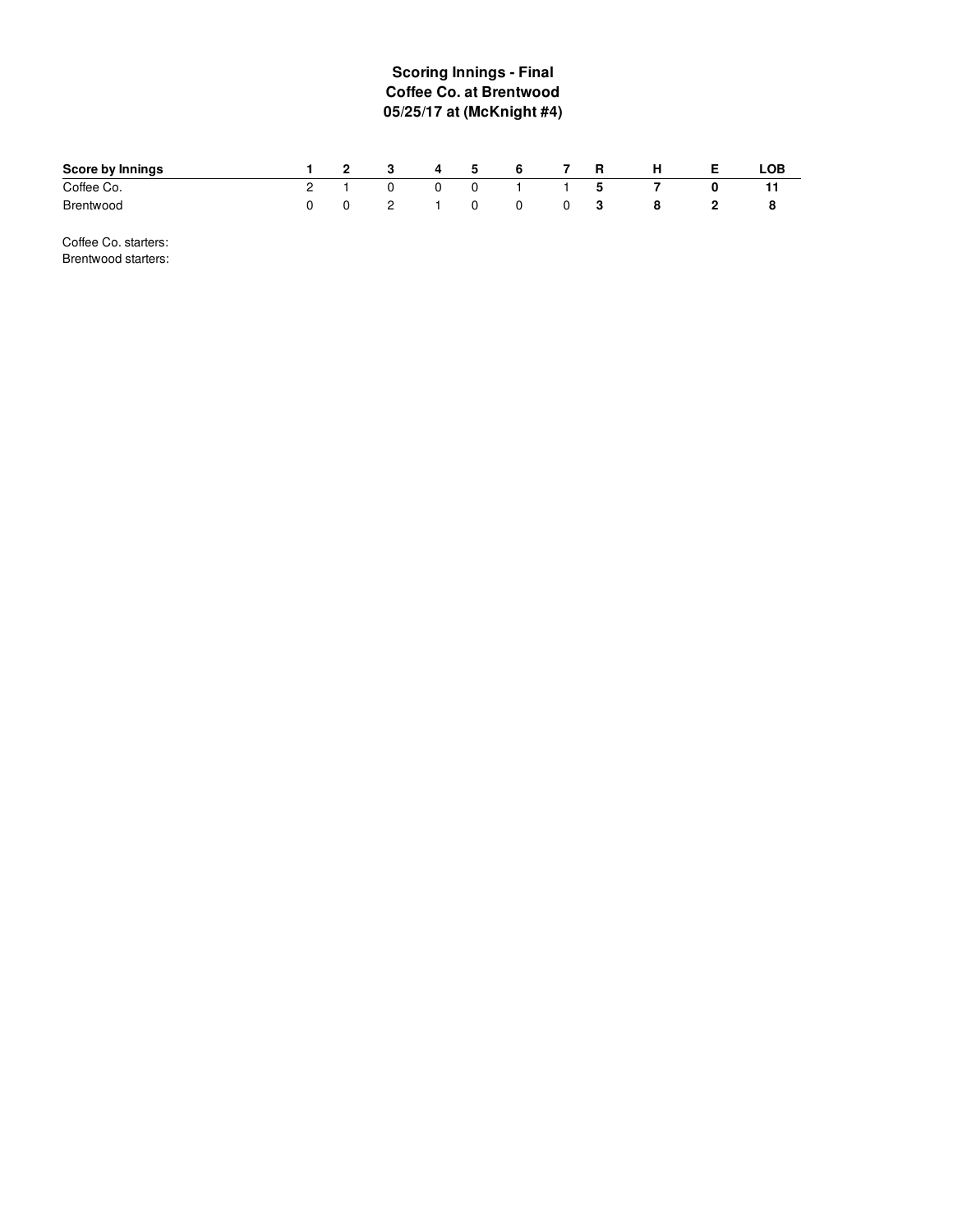# **Scoring Innings - Final Coffee Co. at Brentwood 05/25/17 at (McKnight #4)**

| Score by Innings | $\overline{\phantom{a}}$ 2 | - 3                        | 4 | 5        | 6 |   | R   | н |   | ∟OB |
|------------------|----------------------------|----------------------------|---|----------|---|---|-----|---|---|-----|
| Coffee Co.       |                            | 0                          |   | 0        |   |   | - 5 |   |   |     |
| <b>Brentwood</b> |                            | $\overline{2}$<br><u>_</u> |   | $\Omega$ | 0 | 0 |     |   | z |     |

Coffee Co. starters: Brentwood starters: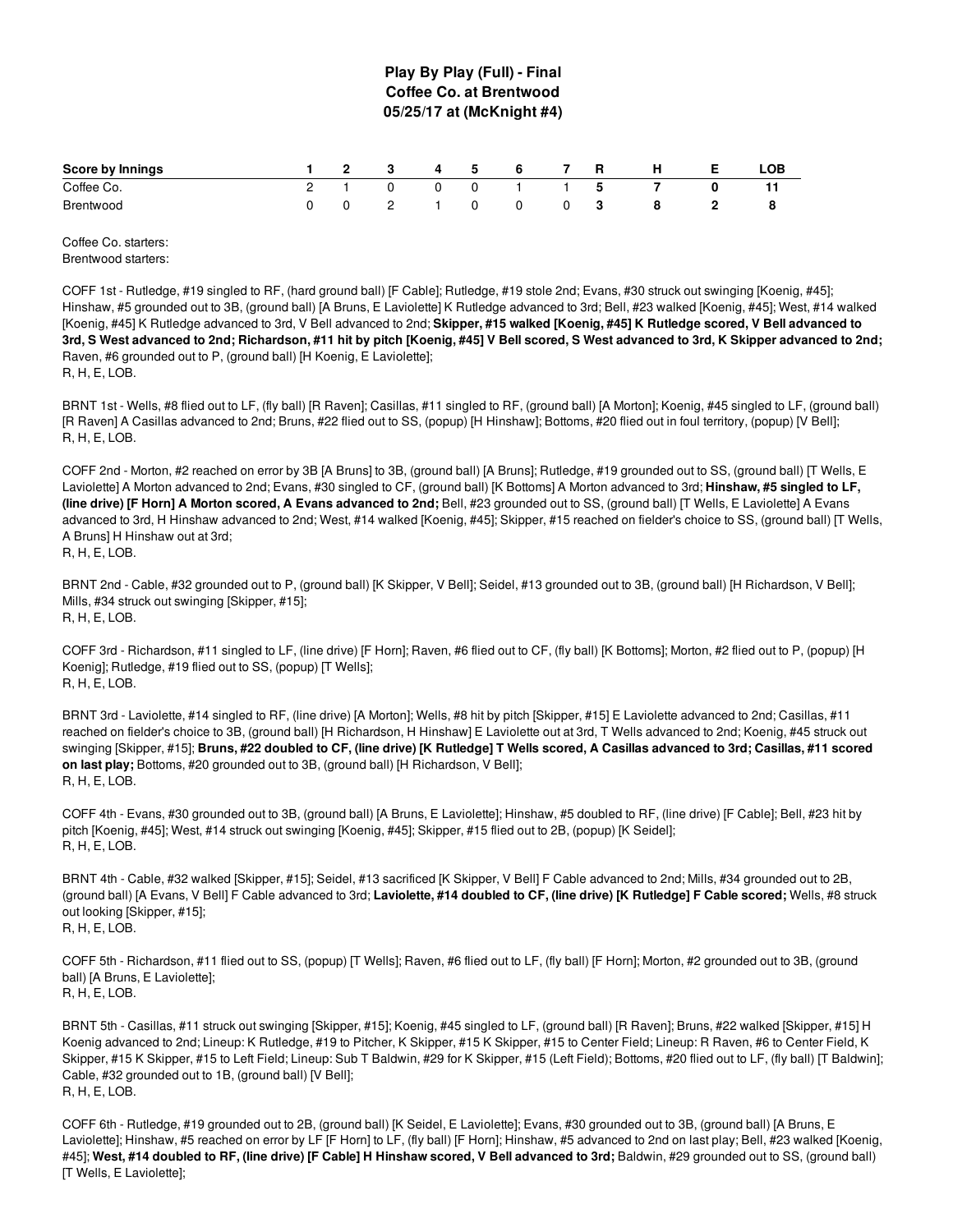### **Play By Play (Full) - Final Coffee Co. at Brentwood 05/25/17 at (McKnight #4)**

| Score by Innings | $\sim$ 2 |                | - 5 | $-$ 6 6 |  | н              | .OB |
|------------------|----------|----------------|-----|---------|--|----------------|-----|
| Coffee Co.       |          | $\overline{0}$ |     | 1 1 5   |  | $\overline{7}$ |     |
| Brentwood        |          | - 2            |     | 0       |  | 8              |     |

Coffee Co. starters: Brentwood starters:

COFF 1st - Rutledge, #19 singled to RF, (hard ground ball) [F Cable]; Rutledge, #19 stole 2nd; Evans, #30 struck out swinging [Koenig, #45]; Hinshaw, #5 grounded out to 3B, (ground ball) [A Bruns, E Laviolette] K Rutledge advanced to 3rd; Bell, #23 walked [Koenig, #45]; West, #14 walked [Koenig, #45] K Rutledge advanced to 3rd, V Bell advanced to 2nd; **Skipper, #15 walked [Koenig, #45] K Rutledge scored, V Bell advanced to** 3rd, S West advanced to 2nd; Richardson, #11 hit by pitch [Koenig, #45] V Bell scored, S West advanced to 3rd, K Skipper advanced to 2nd; Raven, #6 grounded out to P, (ground ball) [H Koenig, E Laviolette]; R, H, E, LOB.

BRNT 1st - Wells, #8 flied out to LF, (fly ball) [R Raven]; Casillas, #11 singled to RF, (ground ball) [A Morton]; Koenig, #45 singled to LF, (ground ball) [R Raven] A Casillas advanced to 2nd; Bruns, #22 flied out to SS, (popup) [H Hinshaw]; Bottoms, #20 flied out in foul territory, (popup) [V Bell]; R, H, E, LOB.

COFF 2nd - Morton, #2 reached on error by 3B [A Bruns] to 3B, (ground ball) [A Bruns]; Rutledge, #19 grounded out to SS, (ground ball) [T Wells, E Laviolette] A Morton advanced to 2nd; Evans, #30 singled to CF, (ground ball) [K Bottoms] A Morton advanced to 3rd; **Hinshaw, #5 singled to LF, (line drive) [F Horn] A Morton scored, A Evans advanced to 2nd;** Bell, #23 grounded out to SS, (ground ball) [T Wells, E Laviolette] A Evans advanced to 3rd, H Hinshaw advanced to 2nd; West, #14 walked [Koenig, #45]; Skipper, #15 reached on fielder's choice to SS, (ground ball) [T Wells, A Bruns] H Hinshaw out at 3rd; R, H, E, LOB.

BRNT 2nd - Cable, #32 grounded out to P, (ground ball) [K Skipper, V Bell]; Seidel, #13 grounded out to 3B, (ground ball) [H Richardson, V Bell]; Mills, #34 struck out swinging [Skipper, #15]; R, H, E, LOB.

COFF 3rd - Richardson, #11 singled to LF, (line drive) [F Horn]; Raven, #6 flied out to CF, (fly ball) [K Bottoms]; Morton, #2 flied out to P, (popup) [H Koenig]; Rutledge, #19 flied out to SS, (popup) [T Wells]; R, H, E, LOB.

BRNT 3rd - Laviolette, #14 singled to RF, (line drive) [A Morton]; Wells, #8 hit by pitch [Skipper, #15] E Laviolette advanced to 2nd; Casillas, #11 reached on fielder's choice to 3B, (ground ball) [H Richardson, H Hinshaw] E Laviolette out at 3rd, T Wells advanced to 2nd; Koenig, #45 struck out swinging [Skipper, #15]; Bruns, #22 doubled to CF, (line drive) [K Rutledge] T Wells scored, A Casillas advanced to 3rd; Casillas, #11 scored **on last play;** Bottoms, #20 grounded out to 3B, (ground ball) [H Richardson, V Bell]; R, H, E, LOB.

COFF 4th - Evans, #30 grounded out to 3B, (ground ball) [A Bruns, E Laviolette]; Hinshaw, #5 doubled to RF, (line drive) [F Cable]; Bell, #23 hit by pitch [Koenig, #45]; West, #14 struck out swinging [Koenig, #45]; Skipper, #15 flied out to 2B, (popup) [K Seidel]; R, H, E, LOB.

BRNT 4th - Cable, #32 walked [Skipper, #15]; Seidel, #13 sacrificed [K Skipper, V Bell] F Cable advanced to 2nd; Mills, #34 grounded out to 2B, (ground ball) [A Evans, V Bell] F Cable advanced to 3rd; Laviolette, #14 doubled to CF, (line drive) [K Rutledge] F Cable scored; Wells, #8 struck out looking [Skipper, #15]; R, H, E, LOB.

COFF 5th - Richardson, #11 flied out to SS, (popup) [T Wells]; Raven, #6 flied out to LF, (fly ball) [F Horn]; Morton, #2 grounded out to 3B, (ground ball) [A Bruns, E Laviolette]; R, H, E, LOB.

BRNT 5th - Casillas, #11 struck out swinging [Skipper, #15]; Koenig, #45 singled to LF, (ground ball) [R Raven]; Bruns, #22 walked [Skipper, #15] H Koenig advanced to 2nd; Lineup: K Rutledge, #19 to Pitcher, K Skipper, #15 K Skipper, #15 to Center Field; Lineup: R Raven, #6 to Center Field, K Skipper, #15 K Skipper, #15 to Left Field; Lineup: Sub T Baldwin, #29 for K Skipper, #15 (Left Field); Bottoms, #20 flied out to LF, (fly ball) [T Baldwin]; Cable, #32 grounded out to 1B, (ground ball) [V Bell]; R, H, E, LOB.

COFF 6th - Rutledge, #19 grounded out to 2B, (ground ball) [K Seidel, E Laviolette]; Evans, #30 grounded out to 3B, (ground ball) [A Bruns, E Laviolette]; Hinshaw, #5 reached on error by LF [F Horn] to LF, (fly ball) [F Horn]; Hinshaw, #5 advanced to 2nd on last play; Bell, #23 walked [Koenig, #45]; West, #14 doubled to RF, (line drive) [F Cable] H Hinshaw scored, V Bell advanced to 3rd; Baldwin, #29 grounded out to SS, (ground ball) [T Wells, E Laviolette];